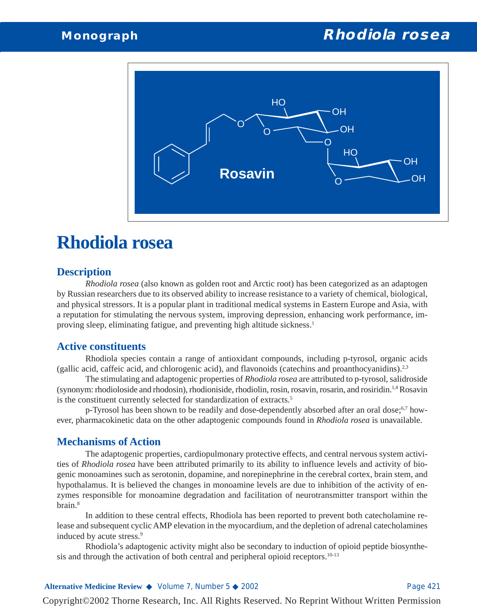

# **Rhodiola rosea**

#### **Description**

*Rhodiola rosea* (also known as golden root and Arctic root) has been categorized as an adaptogen by Russian researchers due to its observed ability to increase resistance to a variety of chemical, biological, and physical stressors. It is a popular plant in traditional medical systems in Eastern Europe and Asia, with a reputation for stimulating the nervous system, improving depression, enhancing work performance, improving sleep, eliminating fatigue, and preventing high altitude sickness.<sup>1</sup>

#### **Active constituents**

Rhodiola species contain a range of antioxidant compounds, including p-tyrosol, organic acids (gallic acid, caffeic acid, and chlorogenic acid), and flavonoids (catechins and proanthocyanidins).<sup>2,3</sup>

The stimulating and adaptogenic properties of *Rhodiola rosea* are attributed to p-tyrosol, salidroside (synonym: rhodioloside and rhodosin), rhodioniside, rhodiolin, rosin, rosavin, rosarin, and rosiridin.1,4 Rosavin is the constituent currently selected for standardization of extracts.5

p-Tyrosol has been shown to be readily and dose-dependently absorbed after an oral dose;<sup>6,7</sup> however, pharmacokinetic data on the other adaptogenic compounds found in *Rhodiola rosea* is unavailable.

#### **Mechanisms of Action**

The adaptogenic properties, cardiopulmonary protective effects, and central nervous system activities of *Rhodiola rosea* have been attributed primarily to its ability to influence levels and activity of biogenic monoamines such as serotonin, dopamine, and norepinephrine in the cerebral cortex, brain stem, and hypothalamus. It is believed the changes in monoamine levels are due to inhibition of the activity of enzymes responsible for monoamine degradation and facilitation of neurotransmitter transport within the brain.8

In addition to these central effects, Rhodiola has been reported to prevent both catecholamine release and subsequent cyclic AMP elevation in the myocardium, and the depletion of adrenal catecholamines induced by acute stress.<sup>9</sup>

Rhodiola's adaptogenic activity might also be secondary to induction of opioid peptide biosynthesis and through the activation of both central and peripheral opioid receptors.<sup>10-13</sup>

#### **Alternative Medicine Review ◆** Volume 7, Number 5 ◆ 2002 Page 421

Copyright©2002 Thorne Research, Inc. All Rights Reserved. No Reprint Without Written Permission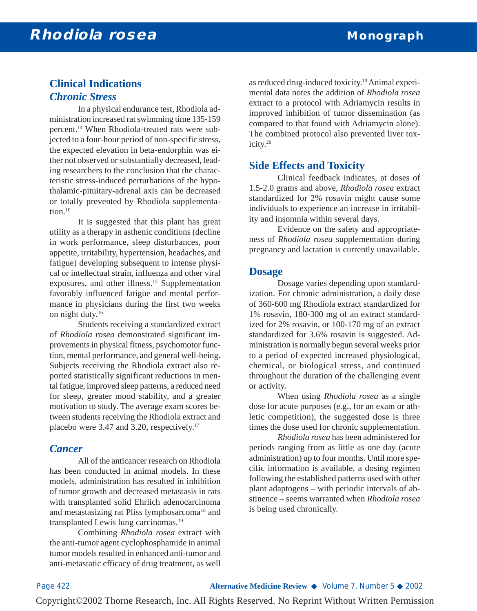## **Clinical Indications** *Chronic Stress*

In a physical endurance test, Rhodiola administration increased rat swimming time 135-159 percent.14 When Rhodiola-treated rats were subjected to a four-hour period of non-specific stress, the expected elevation in beta-endorphin was either not observed or substantially decreased, leading researchers to the conclusion that the characteristic stress-induced perturbations of the hypothalamic-pituitary-adrenal axis can be decreased or totally prevented by Rhodiola supplementation.<sup>10</sup>

It is suggested that this plant has great utility as a therapy in asthenic conditions (decline in work performance, sleep disturbances, poor appetite, irritability, hypertension, headaches, and fatigue) developing subsequent to intense physical or intellectual strain, influenza and other viral exposures, and other illness.<sup>15</sup> Supplementation favorably influenced fatigue and mental performance in physicians during the first two weeks on night duty.<sup>16</sup>

Students receiving a standardized extract of *Rhodiola rosea* demonstrated significant improvements in physical fitness, psychomotor function, mental performance, and general well-being. Subjects receiving the Rhodiola extract also reported statistically significant reductions in mental fatigue, improved sleep patterns, a reduced need for sleep, greater mood stability, and a greater motivation to study. The average exam scores between students receiving the Rhodiola extract and placebo were 3.47 and 3.20, respectively.17

#### *Cancer*

All of the anticancer research on Rhodiola has been conducted in animal models. In these models, administration has resulted in inhibition of tumor growth and decreased metastasis in rats with transplanted solid Ehrlich adenocarcinoma and metastasizing rat Pliss lymphosarcoma<sup>18</sup> and transplanted Lewis lung carcinomas.19

Combining *Rhodiola rosea* extract with the anti-tumor agent cyclophosphamide in animal tumor models resulted in enhanced anti-tumor and anti-metastatic efficacy of drug treatment, as well as reduced drug-induced toxicity.19Animal experimental data notes the addition of *Rhodiola rosea* extract to a protocol with Adriamycin results in improved inhibition of tumor dissemination (as compared to that found with Adriamycin alone). The combined protocol also prevented liver toxicity.20

### **Side Effects and Toxicity**

Clinical feedback indicates, at doses of 1.5-2.0 grams and above, *Rhodiola rosea* extract standardized for 2% rosavin might cause some individuals to experience an increase in irritability and insomnia within several days.

Evidence on the safety and appropriateness of *Rhodiola rosea* supplementation during pregnancy and lactation is currently unavailable.

#### **Dosage**

Dosage varies depending upon standardization. For chronic administration, a daily dose of 360-600 mg Rhodiola extract standardized for 1% rosavin, 180-300 mg of an extract standardized for 2% rosavin, or 100-170 mg of an extract standardized for 3.6% rosavin is suggested. Administration is normally begun several weeks prior to a period of expected increased physiological, chemical, or biological stress, and continued throughout the duration of the challenging event or activity.

When using *Rhodiola rosea* as a single dose for acute purposes (e.g., for an exam or athletic competition), the suggested dose is three times the dose used for chronic supplementation.

*Rhodiola rosea* has been administered for periods ranging from as little as one day (acute administration) up to four months. Until more specific information is available, a dosing regimen following the established patterns used with other plant adaptogens – with periodic intervals of abstinence – seems warranted when *Rhodiola rosea* is being used chronically.

Copyright©2002 Thorne Research, Inc. All Rights Reserved. No Reprint Without Written Permission